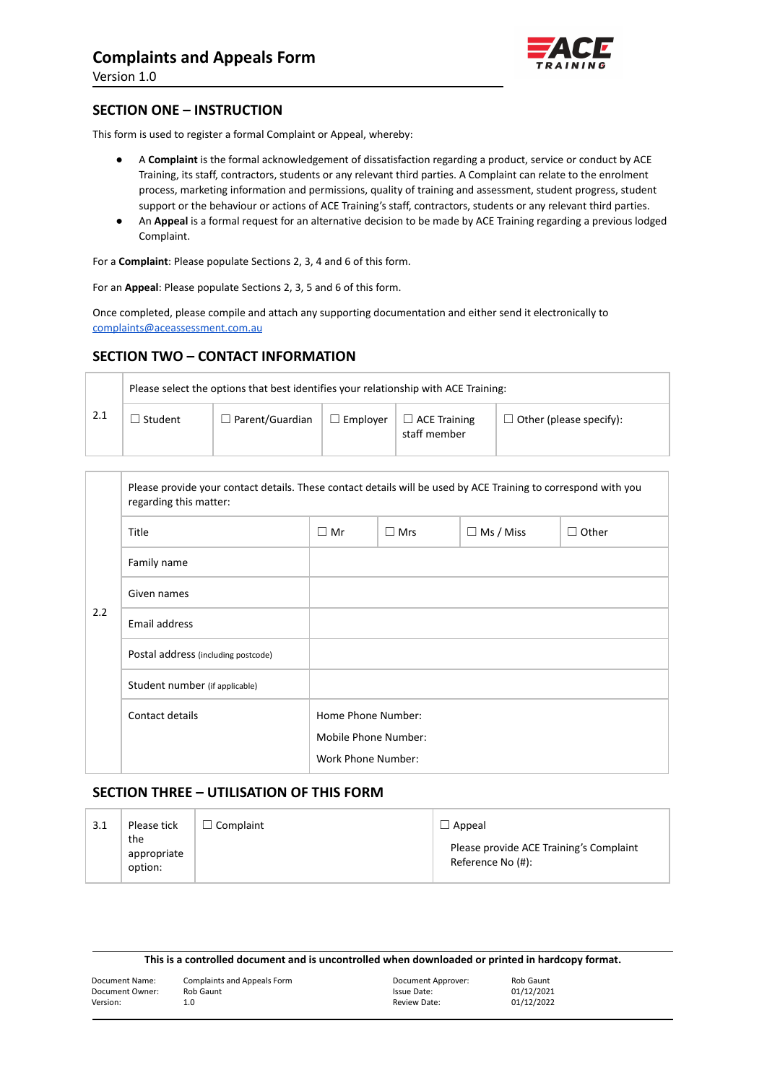

Version 1.0

## **SECTION ONE – INSTRUCTION**

This form is used to register a formal Complaint or Appeal, whereby:

- A **Complaint** is the formal acknowledgement of dissatisfaction regarding a product, service or conduct by ACE Training, its staff, contractors, students or any relevant third parties. A Complaint can relate to the enrolment process, marketing information and permissions, quality of training and assessment, student progress, student support or the behaviour or actions of ACE Training's staff, contractors, students or any relevant third parties.
- An **Appeal** is a formal request for an alternative decision to be made by ACE Training regarding a previous lodged Complaint.

For a **Complaint**: Please populate Sections 2, 3, 4 and 6 of this form.

For an **Appeal**: Please populate Sections 2, 3, 5 and 6 of this form.

Once completed, please compile and attach any supporting documentation and either send it electronically to [complaints@aceassessment.com.au](mailto:complaints@aceassessment.com.au)

## **SECTION TWO – CONTACT INFORMATION**

|      | Please select the options that best identifies your relationship with ACE Training: |                        |                 |                                     |                                |
|------|-------------------------------------------------------------------------------------|------------------------|-----------------|-------------------------------------|--------------------------------|
| -2.1 | Student                                                                             | $\Box$ Parent/Guardian | $\Box$ Emplover | $\Box$ ACE Training<br>staff member | $\Box$ Other (please specify): |

|                    | Please provide your contact details. These contact details will be used by ACE Training to correspond with you<br>regarding this matter: |                      |            |                  |              |
|--------------------|------------------------------------------------------------------------------------------------------------------------------------------|----------------------|------------|------------------|--------------|
|                    | Title                                                                                                                                    | $\Box$ Mr            | $\Box$ Mrs | $\Box$ Ms / Miss | $\Box$ Other |
|                    | Family name                                                                                                                              |                      |            |                  |              |
|                    | Given names                                                                                                                              |                      |            |                  |              |
| 2.2                | Email address                                                                                                                            |                      |            |                  |              |
|                    | Postal address (including postcode)                                                                                                      |                      |            |                  |              |
|                    | Student number (if applicable)                                                                                                           |                      |            |                  |              |
|                    | Contact details                                                                                                                          | Home Phone Number:   |            |                  |              |
|                    |                                                                                                                                          | Mobile Phone Number: |            |                  |              |
| Work Phone Number: |                                                                                                                                          |                      |            |                  |              |

## **SECTION THREE – UTILISATION OF THIS FORM**

| 3.1 | Please tick                   | Complaint | $\Box$ Appeal                                                |  |
|-----|-------------------------------|-----------|--------------------------------------------------------------|--|
|     | the<br>appropriate<br>option: |           | Please provide ACE Training's Complaint<br>Reference No (#): |  |

| This is a controlled document and is uncontrolled when downloaded or printed in hardcopy format. |  |  |
|--------------------------------------------------------------------------------------------------|--|--|
|--------------------------------------------------------------------------------------------------|--|--|

| Document Name:  | Complaints and Appeals Form | Document Approver: | Rob Gaunt  |
|-----------------|-----------------------------|--------------------|------------|
| Document Owner: | Rob Gaunt                   | Issue Date:        | 01/12/2021 |
| Version:        | 1.0                         | Review Date:       | 01/12/2022 |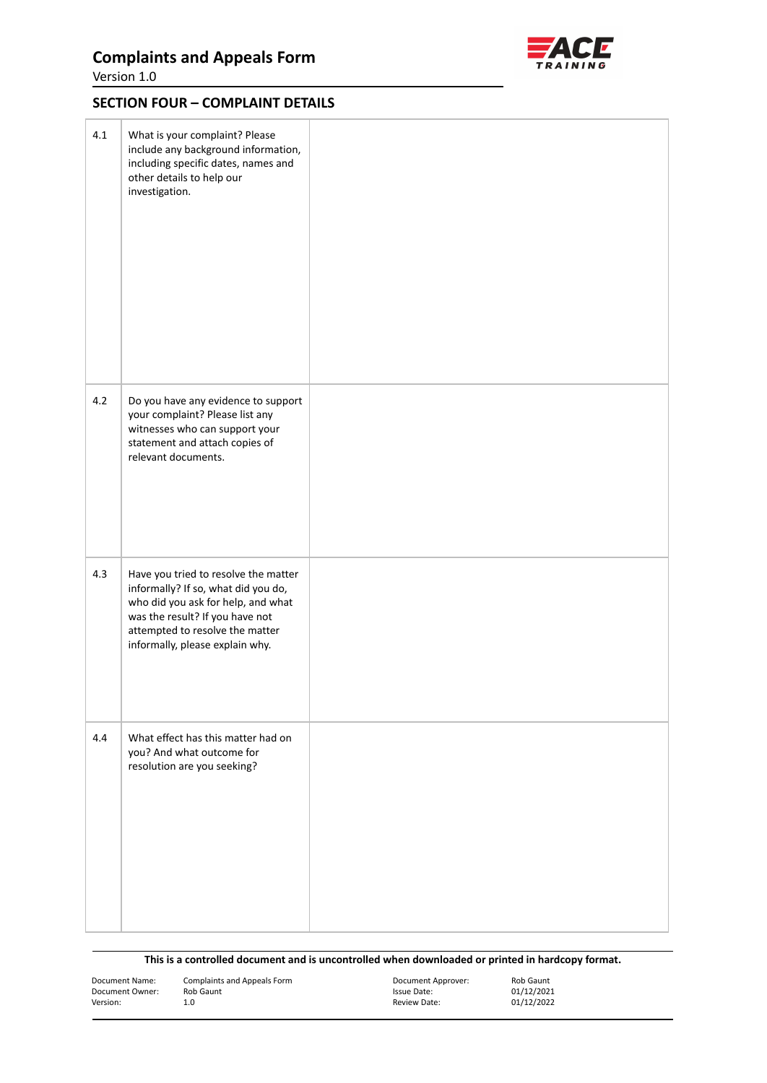# **Complaints and Appeals Form**





## **SECTION FOUR – COMPLAINT DETAILS**

| 4.1 | What is your complaint? Please<br>include any background information,<br>including specific dates, names and<br>other details to help our<br>investigation.                                                                |  |
|-----|----------------------------------------------------------------------------------------------------------------------------------------------------------------------------------------------------------------------------|--|
| 4.2 | Do you have any evidence to support<br>your complaint? Please list any<br>witnesses who can support your<br>statement and attach copies of<br>relevant documents.                                                          |  |
| 4.3 | Have you tried to resolve the matter<br>informally? If so, what did you do,<br>who did you ask for help, and what<br>was the result? If you have not<br>attempted to resolve the matter<br>informally, please explain why. |  |
| 4.4 | What effect has this matter had on<br>you? And what outcome for<br>resolution are you seeking?                                                                                                                             |  |

| Document Name:  | Complaints and Appeals Form | Document Approver: | Rob Gaunt  |
|-----------------|-----------------------------|--------------------|------------|
| Document Owner: | Rob Gaunt                   | Issue Date:        | 01/12/2021 |
| Version:        | 1.0                         | Review Date:       | 01/12/2022 |